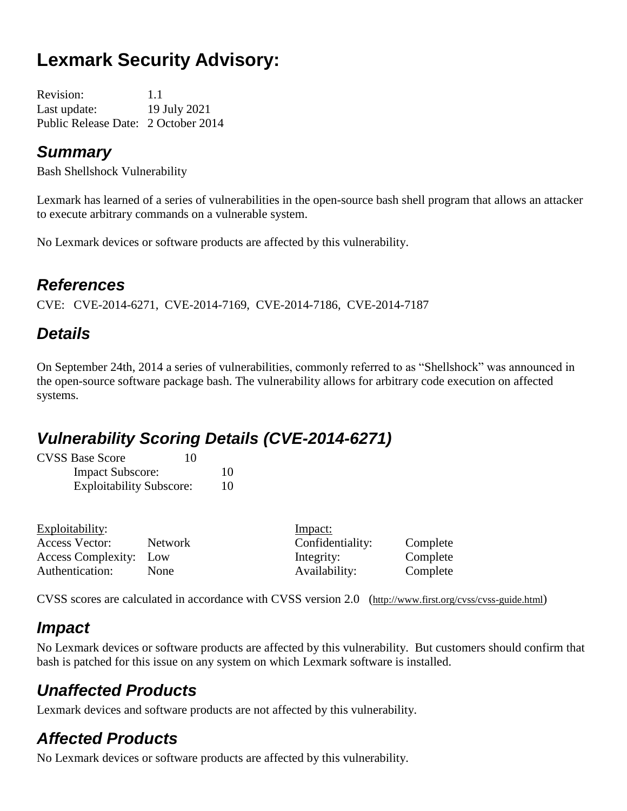# **Lexmark Security Advisory:**

Revision: 1.1 Last update: 19 July 2021 Public Release Date: 2 October 2014

#### *Summary*

Bash Shellshock Vulnerability

Lexmark has learned of a series of vulnerabilities in the open-source bash shell program that allows an attacker to execute arbitrary commands on a vulnerable system.

No Lexmark devices or software products are affected by this vulnerability.

### *References*

CVE: CVE-2014-6271, CVE-2014-7169, CVE-2014-7186, CVE-2014-7187

## *Details*

On September 24th, 2014 a series of vulnerabilities, commonly referred to as "Shellshock" was announced in the open-source software package bash. The vulnerability allows for arbitrary code execution on affected systems.

### *Vulnerability Scoring Details (CVE-2014-6271)*

| <b>CVSS Base Score</b>          | 10 |
|---------------------------------|----|
| <b>Impact Subscore:</b>         | 10 |
| <b>Exploitability Subscore:</b> | 10 |

| Exploitability:               |             | Impact:          |          |
|-------------------------------|-------------|------------------|----------|
| Access Vector:                | Network     | Confidentiality: | Complete |
| <b>Access Complexity:</b> Low |             | Integrity:       | Complete |
| Authentication:               | <b>None</b> | Availability:    | Complete |
|                               |             |                  |          |

CVSS scores are calculated in accordance with CVSS version 2.0 (http://www.first.org/cvss/cvss-guide.html)

### *Impact*

No Lexmark devices or software products are affected by this vulnerability. But customers should confirm that bash is patched for this issue on any system on which Lexmark software is installed.

### *Unaffected Products*

Lexmark devices and software products are not affected by this vulnerability.

### *Affected Products*

No Lexmark devices or software products are affected by this vulnerability.